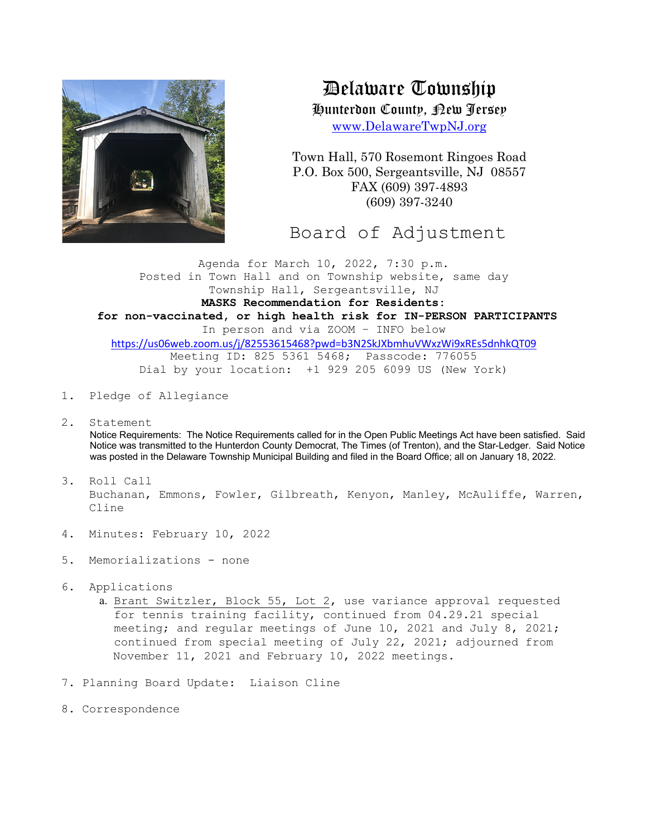

Delaware Township

Hunterdon County, New Jersey

www.DelawareTwpNJ.org

Town Hall, 570 Rosemont Ringoes Road P.O. Box 500, Sergeantsville, NJ 08557 FAX (609) 397-4893 (609) 397-3240

Board of Adjustment

Agenda for March 10, 2022, 7:30 p.m. Posted in Town Hall and on Township website, same day Township Hall, Sergeantsville, NJ **MASKS Recommendation for Residents: for non-vaccinated, or high health risk for IN-PERSON PARTICIPANTS** In person and via ZOOM – INFO below https://us06web.zoom.us/j/82553615468?pwd=b3N2SkJXbmhuVWxzWi9xREs5dnhkQT09 Meeting ID: 825 5361 5468; Passcode: 776055 Dial by your location: +1 929 205 6099 US (New York)

- 1. Pledge of Allegiance
- 2. Statement

Notice Requirements: The Notice Requirements called for in the Open Public Meetings Act have been satisfied. Said Notice was transmitted to the Hunterdon County Democrat, The Times (of Trenton), and the Star-Ledger. Said Notice was posted in the Delaware Township Municipal Building and filed in the Board Office; all on January 18, 2022.

- 3. Roll Call Buchanan, Emmons, Fowler, Gilbreath, Kenyon, Manley, McAuliffe, Warren, Cline
- 4. Minutes: February 10, 2022
- 5. Memorializations none
- 6. Applications
	- a. Brant Switzler, Block 55, Lot 2, use variance approval requested for tennis training facility, continued from 04.29.21 special meeting; and regular meetings of June 10, 2021 and July 8, 2021; continued from special meeting of July 22, 2021; adjourned from November 11, 2021 and February 10, 2022 meetings.
- 7. Planning Board Update: Liaison Cline
- 8. Correspondence